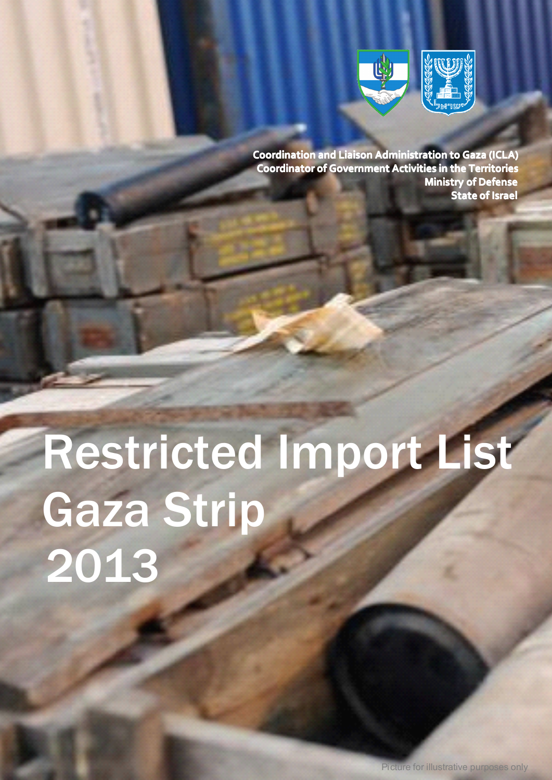

**Coordination and Liaison Administration to Gaza (ICLA) Coordinator Coordinatorof Government Activities Activitiesin the Territories Ministry Ministry of Defense State of Israel**

# Restricted Import List Gaza Strip 2013

The Civil Coordination Department, COGAT. Beit Yachin, Tel: +972-3-718-3-718-3-718-3-718-9110, Fax: +972-3-718-9174-718-9174-718-9174-718-718-718-718-7

Picture for illustrative purposes only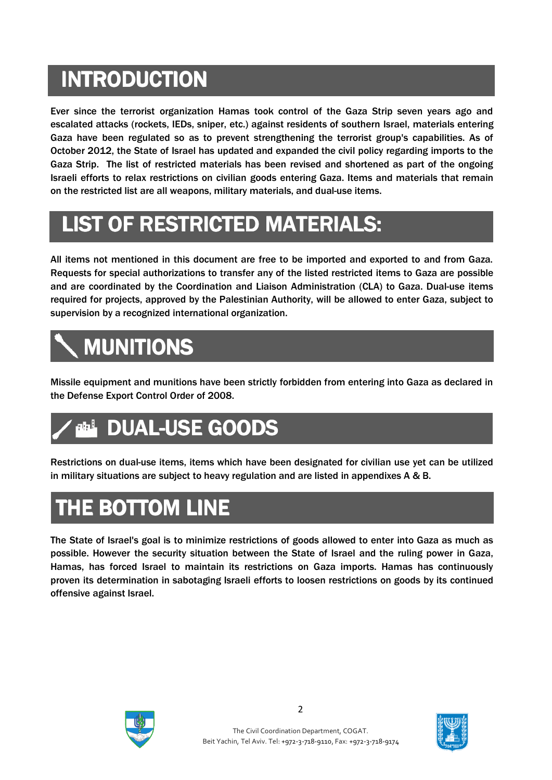## **INTRODUCTION TRODUCTION TRODUCTION TRODUCTION**

Ever since the terrorist organization Hamas took control of the Gaza Strip seven years ago and escalated attacks (rockets, IEDs, sniper, etc.) against residents of southern Israel, materials entering Gaza have been regulated so as to prevent strengthening the terrorist group's capabilities. As of October 2012, the State of Israel has updated and expanded the civil policy regarding imports to the Gaza Strip. The list of restricted materials has been revised and shortened as part of the ongoing Israeli efforts to relax restrictions on civilian goods entering Gaza. Items and materials that remain on the restricted list are all weapons, military materials, and dual-use items.

### **LIST OF RESTRICTED MATERIALS:**

All items not mentioned in this document are free to be imported and exported to and from Gaza. Requests for special authorizations to transfer any of the listed restricted items to Gaza are possible and are coordinated by the Coordination and Liaison Administration (CLA) to Gaza. Dual-use items required for projects, approved by the Palestinian Authority, will be allowed to enter Gaza, subject to supervision by <sup>a</sup> recognized international organization.

# **MUNITIONS MUNITIONS**

Missile equipment and munitions have been strictly forbidden from entering into Gaza as declared in the Defense Export Control Order of 2008.



Restrictions on dual-use items, items which have been designated for civilian use yet can be utilized in military situations are subject to heavy regulation and are listed in appendixes A & B.

#### **THE BOTTOM LINE**

The State of Israel's goal is to minimize restrictions of goods allowed to enter into Gaza as much as possible. However the security situation between the State of Israel and the ruling power in Gaza, Hamas, has forced Israel to maintain its restrictions on Gaza imports. Hamas has continuously proven its determination in sabotaging Israeli efforts to loosen restrictions on goods by its continued offensive against Israel.





2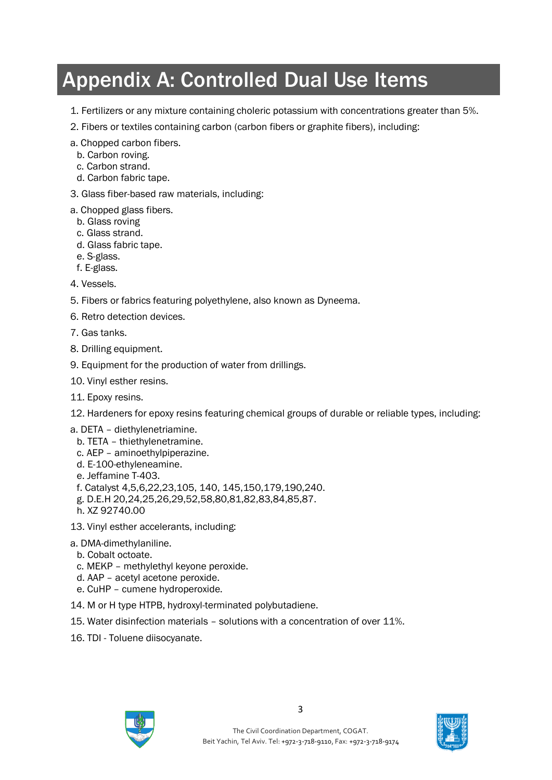#### Appendix A: Controlled Dual Use Items

- 1. Fertilizers or any mixture containing choleric potassium with concentrations greater than 5%.
- 2. Fibers or textiles containing carbon (carbon fibers or graphite fibers), including:
- a. Chopped carbon fibers.
- b. Carbon roving.
- c. Carbon strand.
- d. Carbon fabric tape.
- 3. Glass fiber-based raw materials, including:
- a. Chopped glass fibers.
	- b. Glass roving
	- c. Glass strand.
	- d. Glass fabric tape.
	- e. S-glass.
	- f. E-glass.

4. Vessels.

- 5. Fibers or fabrics featuring polyethylene, also known as Dyneema.
- 6. Retro detection devices.
- 7. Gas tanks.
- 8. Drilling equipment.
- 9. Equipment for the production of water from drillings.
- 10. Vinyl esther resins.
- 11. Epoxy resins.
- 12. Hardeners for epoxy resins featuring chemical groups of durable or reliable types, including:
- a. DETA diethylenetriamine.
	- b. TETA thiethylenetramine.
	- c. AEP aminoethylpiperazine.
	- d. E-100-ethyleneamine.
	- e. Jeffamine T-403.
	- f. Catalyst 4,5,6,22,23,105, 140, 145,150,179,190,240.
	- g. D.E.H 20,24,25,26,29,52,58,80,81,82,83,84,85,87.
	- h. XZ 92740.00
- 13. Vinyl esther accelerants, including:
- a. DMA-dimethylaniline.
	- b. Cobalt octoate.
- c. MEKP methylethyl keyone peroxide.
- d. AAP acetyl acetone peroxide.
- e. CuHP cumene hydroperoxide.
- 14. M or H type HTPB, hydroxyl-terminated polybutadiene.
- 15. Water disinfection materials solutions with a concentration of over 11%.
- 16. TDI Toluene diisocyanate.



The Civil Coordination Department, COGAT. Beit Yachin, Tel Aviv. Tel: +972-3-718-9110, Fax: +972-3-718-9174